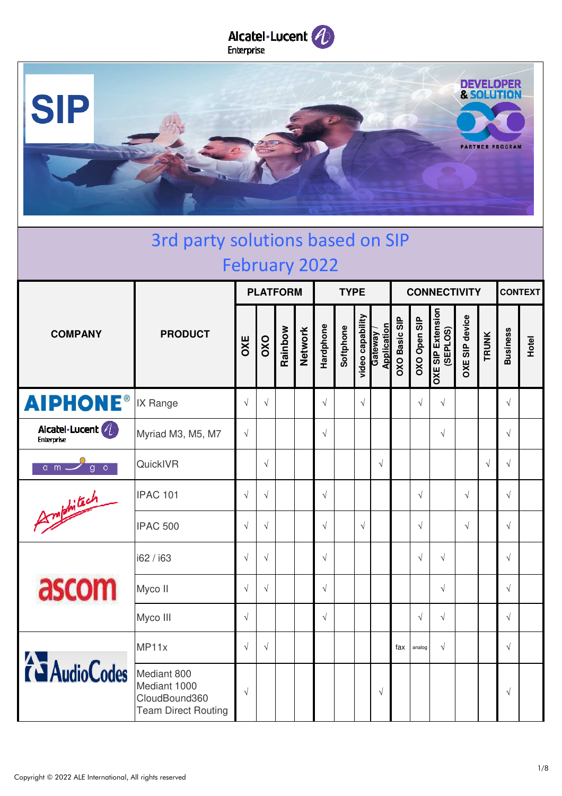



| 3rd party solutions based on SIP<br><b>February 2022</b> |                                                                            |            |            |         |                 |            |             |                  |                        |                      |              |                                      |                       |              |                 |       |
|----------------------------------------------------------|----------------------------------------------------------------------------|------------|------------|---------|-----------------|------------|-------------|------------------|------------------------|----------------------|--------------|--------------------------------------|-----------------------|--------------|-----------------|-------|
|                                                          |                                                                            |            |            |         |                 |            |             |                  |                        |                      |              |                                      |                       |              |                 |       |
|                                                          |                                                                            |            |            |         | <b>PLATFORM</b> |            | <b>TYPE</b> |                  |                        | <b>CONNECTIVITY</b>  |              |                                      |                       |              | <b>CONTEXT</b>  |       |
| <b>COMPANY</b>                                           | <b>PRODUCT</b>                                                             | OXE        | OXO        | Rainbow | <b>Network</b>  | Hardphone  | Softphone   | video capability | Application<br>Gateway | <b>OXO Basic SIP</b> | OXO Open SIP | <b>OXE SIP Extension</b><br>(SEPLOS) | <b>OXE SIP device</b> | <b>TRUNK</b> | <b>Business</b> | Hotel |
| <b>AIPHONE®</b>                                          | IX Range                                                                   | $\sqrt{ }$ | $\sqrt{ }$ |         |                 | $\sqrt{ }$ |             | $\sqrt{}$        |                        |                      | $\sqrt{ }$   | $\sqrt{ }$                           |                       |              | $\sqrt{ }$      |       |
| Alcatel·Lucent (4)<br>Enterprise                         | Myriad M3, M5, M7                                                          | $\sqrt{ }$ |            |         |                 | $\sqrt{ }$ |             |                  |                        |                      |              | $\sqrt{ }$                           |                       |              | $\sqrt{ }$      |       |
| $\overline{\circ}$<br>$a$ m $-$<br>$\overline{g}$        | QuickIVR                                                                   |            | $\sqrt{ }$ |         |                 |            |             |                  | $\sqrt{ }$             |                      |              |                                      |                       | $\sqrt{ }$   | $\sqrt{ }$      |       |
| Amphitich                                                | <b>IPAC 101</b>                                                            | $\sqrt{ }$ | $\sqrt{ }$ |         |                 | $\sqrt{ }$ |             |                  |                        |                      | $\sqrt{ }$   |                                      | $\sqrt{ }$            |              | $\sqrt{ }$      |       |
|                                                          | <b>IPAC 500</b>                                                            | $\sqrt{ }$ | $\sqrt{ }$ |         |                 | $\sqrt{ }$ |             | $\sqrt{ }$       |                        |                      | $\sqrt{ }$   |                                      | $\sqrt{2}$            |              | $\sqrt{ }$      |       |
|                                                          | i62 / i63                                                                  | $\sqrt{ }$ | $\sqrt{ }$ |         |                 | $\sqrt{ }$ |             |                  |                        |                      | $\sqrt{ }$   | $\sqrt{ }$                           |                       |              | $\sqrt{ }$      |       |
| ascom                                                    | Myco II                                                                    | $\sqrt{ }$ | $\sqrt{ }$ |         |                 | $\sqrt{}$  |             |                  |                        |                      |              | $\sqrt{ }$                           |                       |              | $\sqrt{ }$      |       |
|                                                          | Myco III                                                                   | $\sqrt{}$  |            |         |                 | $\sqrt{ }$ |             |                  |                        |                      | $\sqrt{ }$   | $\sqrt{ }$                           |                       |              | $\sqrt{ }$      |       |
|                                                          | MP11x                                                                      | $\sqrt{ }$ | $\sqrt{ }$ |         |                 |            |             |                  |                        | fax                  | analog       | $\sqrt{ }$                           |                       |              | $\sqrt{ }$      |       |
| <b>TAudioCodes</b>                                       | Mediant 800<br>Mediant 1000<br>CloudBound360<br><b>Team Direct Routing</b> | $\sqrt{}$  |            |         |                 |            |             |                  | $\sqrt{ }$             |                      |              |                                      |                       |              | $\sqrt{ }$      |       |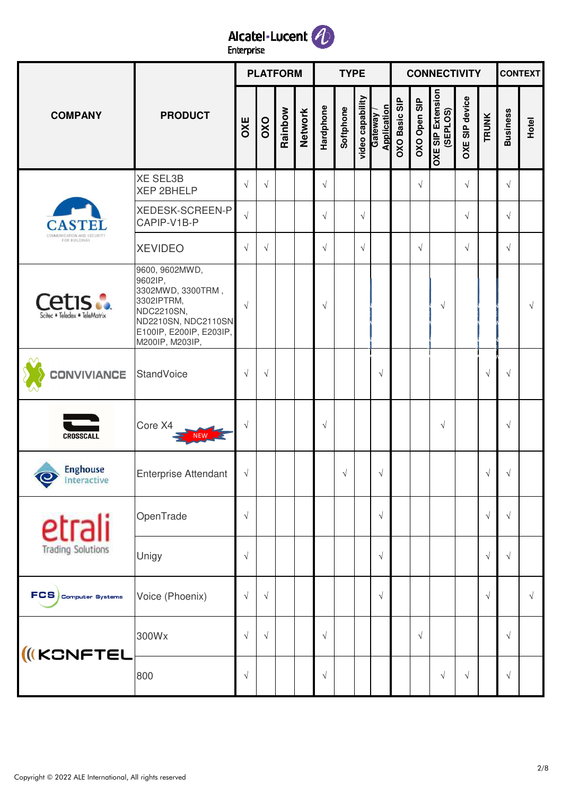

|                                                  |                                                                                                                                                 |            |            | <b>PLATFORM</b> |                |            | <b>TYPE</b> |                               |             |                      |              | <b>CONNECTIVITY</b>                  |                       |              |                 | <b>CONTEXT</b> |
|--------------------------------------------------|-------------------------------------------------------------------------------------------------------------------------------------------------|------------|------------|-----------------|----------------|------------|-------------|-------------------------------|-------------|----------------------|--------------|--------------------------------------|-----------------------|--------------|-----------------|----------------|
| <b>COMPANY</b>                                   | <b>PRODUCT</b>                                                                                                                                  | OXE        | OXO        | Rainbow         | <b>Network</b> | Hardphone  | Softphone   | video capability<br>Gateway / | Application | <b>OXO Basic SIP</b> | OXO Open SIP | <b>OXE SIP Extension</b><br>(SEPLOS) | <b>OXE SIP device</b> | <b>TRUNK</b> | <b>Business</b> | Hotel          |
|                                                  | <b>XE SEL3B</b><br><b>XEP 2BHELP</b>                                                                                                            | $\sqrt{ }$ | $\sqrt{ }$ |                 |                | $\sqrt{ }$ |             |                               |             |                      | $\sqrt{ }$   |                                      | $\sqrt{ }$            |              | $\sqrt{ }$      |                |
|                                                  | <b>XEDESK-SCREEN-P</b><br>CAPIP-V1B-P                                                                                                           | $\sqrt{ }$ |            |                 |                | $\sqrt{ }$ |             | $\sqrt{ }$                    |             |                      |              |                                      | $\sqrt{ }$            |              | $\sqrt{}$       |                |
| COMMUNICATION AND SECURITY<br>FOR BUILDINGS      | <b>XEVIDEO</b>                                                                                                                                  | $\sqrt{}$  | $\sqrt{ }$ |                 |                | $\sqrt{ }$ |             | $\sqrt{ }$                    |             |                      | $\sqrt{ }$   |                                      | $\sqrt{ }$            |              | $\sqrt{}$       |                |
| <b>Cetis :.</b><br>Scitec . Teledex . TeleMatrix | 9600, 9602MWD,<br>9602IP,<br>3302MWD, 3300TRM,<br>3302IPTRM,<br>NDC2210SN,<br>ND2210SN, NDC2110SN<br>E100IP, E200IP, E203IP,<br>M200IP, M203IP, | $\sqrt{ }$ |            |                 |                | $\sqrt{ }$ |             |                               |             |                      |              | $\sqrt{}$                            |                       |              |                 | $\sqrt{ }$     |
| <b>CONVIVIANCE</b>                               | <b>StandVoice</b>                                                                                                                               | $\sqrt{ }$ | $\sqrt{}$  |                 |                |            |             |                               | $\sqrt{ }$  |                      |              |                                      |                       | $\sqrt{ }$   | $\sqrt{ }$      |                |
| <b>CROSSCALL</b>                                 | Core X4                                                                                                                                         | $\sqrt{}$  |            |                 |                | $\sqrt{ }$ |             |                               |             |                      |              | $\sqrt{}$                            |                       |              | $\sqrt{ }$      |                |
| <b>Enghouse</b><br>Interactive                   | <b>Enterprise Attendant</b>                                                                                                                     | $\sqrt{ }$ |            |                 |                |            | $\sqrt{ }$  |                               | $\sqrt{}$   |                      |              |                                      |                       | $\sqrt{ }$   | $\sqrt{ }$      |                |
| etrali                                           | OpenTrade                                                                                                                                       | $\sqrt{ }$ |            |                 |                |            |             |                               | $\sqrt{ }$  |                      |              |                                      |                       | $\sqrt{ }$   | $\sqrt{ }$      |                |
| <b>Trading Solutions</b>                         | Unigy                                                                                                                                           | $\sqrt{ }$ |            |                 |                |            |             |                               | $\sqrt{ }$  |                      |              |                                      |                       | $\sqrt{ }$   | $\sqrt{ }$      |                |
| FCS Computer Systems                             | Voice (Phoenix)                                                                                                                                 | $\sqrt{ }$ | $\sqrt{ }$ |                 |                |            |             |                               | $\sqrt{ }$  |                      |              |                                      |                       | $\sqrt{ }$   |                 | $\sqrt{ }$     |
| <b>IKCNFTEL</b>                                  | 300Wx                                                                                                                                           | $\sqrt{ }$ | $\sqrt{ }$ |                 |                | $\sqrt{ }$ |             |                               |             |                      | $\sqrt{ }$   |                                      |                       |              | $\sqrt{}$       |                |
|                                                  | 800                                                                                                                                             | $\sqrt{ }$ |            |                 |                | $\sqrt{ }$ |             |                               |             |                      |              | $\sqrt{}$                            | $\sqrt{ }$            |              | $\sqrt{}$       |                |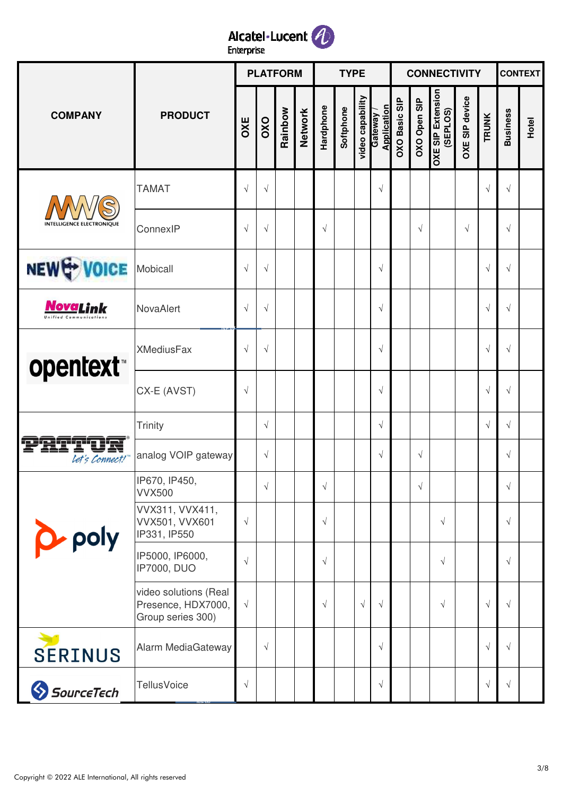

|                                  |                                                                  |            |            | <b>PLATFORM</b> |                |            | <b>TYPE</b> |                  |                        |               |              | <b>CONNECTIVITY</b>                  |                       |              |                 | <b>CONTEXT</b> |
|----------------------------------|------------------------------------------------------------------|------------|------------|-----------------|----------------|------------|-------------|------------------|------------------------|---------------|--------------|--------------------------------------|-----------------------|--------------|-----------------|----------------|
| <b>COMPANY</b>                   | <b>PRODUCT</b>                                                   | OXE        | OXO        | Rainbow         | <b>Network</b> | Hardphone  | Softphone   | video capability | Application<br>Gateway | OXO Basic SIP | OXO Open SIP | <b>OXE SIP Extension</b><br>(SEPLOS) | <b>OXE SIP device</b> | <b>TRUNK</b> | <b>Business</b> | Hotel          |
|                                  | <b>TAMAT</b>                                                     | $\sqrt{ }$ | $\sqrt{}$  |                 |                |            |             |                  | $\sqrt{}$              |               |              |                                      |                       | $\sqrt{ }$   | $\sqrt{ }$      |                |
| <b>INTELLIGENCE ELECTRONIOUE</b> | ConnexIP                                                         | $\sqrt{ }$ | $\sqrt{}$  |                 |                | $\sqrt{ }$ |             |                  |                        |               | $\sqrt{ }$   |                                      | $\sqrt{ }$            |              | $\sqrt{}$       |                |
| NEW & VOICE                      | Mobicall                                                         | $\sqrt{ }$ | $\sqrt{}$  |                 |                |            |             |                  | $\sqrt{}$              |               |              |                                      |                       | $\sqrt{ }$   | $\sqrt{}$       |                |
| NovaLink                         | NovaAlert                                                        | $\sqrt{ }$ | $\sqrt{}$  |                 |                |            |             |                  | $\sqrt{}$              |               |              |                                      |                       | $\sqrt{ }$   | $\sqrt{}$       |                |
| opentext <sup>*</sup>            | <b>XMediusFax</b>                                                | $\sqrt{ }$ | $\sqrt{ }$ |                 |                |            |             |                  | $\sqrt{ }$             |               |              |                                      |                       | $\sqrt{ }$   | $\sqrt{ }$      |                |
|                                  | CX-E (AVST)                                                      | $\sqrt{ }$ |            |                 |                |            |             |                  | $\sqrt{}$              |               |              |                                      |                       | $\sqrt{ }$   | $\sqrt{}$       |                |
|                                  | Trinity                                                          |            | $\sqrt{}$  |                 |                |            |             |                  | $\sqrt{}$              |               |              |                                      |                       | $\sqrt{ }$   | $\sqrt{ }$      |                |
| Let's Connect!"                  | analog VOIP gateway                                              |            | $\sqrt{ }$ |                 |                |            |             |                  | $\sqrt{ }$             |               | $\sqrt{ }$   |                                      |                       |              | $\sqrt{}$       |                |
|                                  | IP670, IP450,<br><b>VVX500</b>                                   |            | $\sqrt{ }$ |                 |                | $\sqrt{}$  |             |                  |                        |               | $\sqrt{}$    |                                      |                       |              | $\sqrt{}$       |                |
| p-poly                           | VVX311, VVX411,<br>VVX501, VVX601<br>IP331, IP550                | $\sqrt{ }$ |            |                 |                | $\sqrt{ }$ |             |                  |                        |               |              | $\sqrt{}$                            |                       |              | $\sqrt{}$       |                |
|                                  | IP5000, IP6000,<br><b>IP7000, DUO</b>                            | $\sqrt{}$  |            |                 |                | $\sqrt{ }$ |             |                  |                        |               |              | $\sqrt{}$                            |                       |              | $\sqrt{ }$      |                |
|                                  | video solutions (Real<br>Presence, HDX7000,<br>Group series 300) | $\sqrt{ }$ |            |                 |                | $\sqrt{ }$ |             | $\sqrt{ }$       | $\sqrt{ }$             |               |              | $\sqrt{}$                            |                       | $\sqrt{ }$   | $\sqrt{ }$      |                |
| <b>SERINUS</b>                   | Alarm MediaGateway                                               |            | $\sqrt{ }$ |                 |                |            |             |                  | $\sqrt{ }$             |               |              |                                      |                       | $\sqrt{ }$   | $\sqrt{ }$      |                |
| SourceTech                       | <b>TellusVoice</b>                                               | $\sqrt{}$  |            |                 |                |            |             |                  | $\sqrt{ }$             |               |              |                                      |                       | $\sqrt{ }$   | $\sqrt{ }$      |                |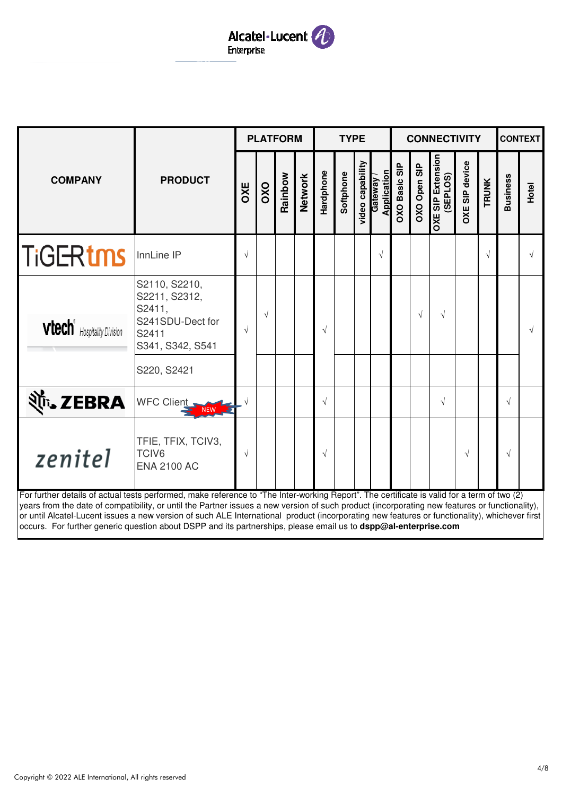

NEW

|                                                                                                                                                                                                                                                                                               |                                                                                                          |            |            | <b>PLATFORM</b> |                |            | <b>TYPE</b> |                  |                               |                      |              | <b>CONNECTIVITY</b>                  |                       |              |                 | <b>CONTEXT</b> |
|-----------------------------------------------------------------------------------------------------------------------------------------------------------------------------------------------------------------------------------------------------------------------------------------------|----------------------------------------------------------------------------------------------------------|------------|------------|-----------------|----------------|------------|-------------|------------------|-------------------------------|----------------------|--------------|--------------------------------------|-----------------------|--------------|-----------------|----------------|
| <b>COMPANY</b>                                                                                                                                                                                                                                                                                | <b>PRODUCT</b>                                                                                           | OXE        | OXO        | Rainbow         | <b>Network</b> | Hardphone  | Softphone   | video capability | <b>Application</b><br>Gateway | <b>OXO Basic SIP</b> | OXO Open SIP | <b>OXE SIP Extension</b><br>(SEPLOS) | <b>OXE SIP device</b> | <b>TRUNK</b> | <b>Business</b> | Hotel          |
| <b>TiGERtms</b>                                                                                                                                                                                                                                                                               | InnLine IP                                                                                               | $\sqrt{ }$ |            |                 |                |            |             |                  | $\sqrt{ }$                    |                      |              |                                      |                       | $\sqrt{ }$   |                 |                |
| <b>vtech</b> <sup><i>t</i></sup> Hospitality Division                                                                                                                                                                                                                                         | S2110, S2210,<br>S2211, S2312,<br>S2411,<br>S241SDU-Dect for<br>S2411<br>S341, S342, S541<br>S220, S2421 | $\sqrt{ }$ | $\sqrt{ }$ |                 |                | $\sqrt{ }$ |             |                  |                               |                      | $\sqrt{}$    | $\sqrt{ }$                           |                       |              |                 |                |
| शैं <sub>•</sub> ZEBRA                                                                                                                                                                                                                                                                        | WFC Client,                                                                                              |            |            |                 |                | $\sqrt{ }$ |             |                  |                               |                      |              | $\sqrt{ }$                           |                       |              | $\sqrt{ }$      |                |
| zenitel                                                                                                                                                                                                                                                                                       | TFIE, TFIX, TCIV3,<br>TCIV6<br><b>ENA 2100 AC</b>                                                        | $\sqrt{ }$ |            |                 |                | $\sqrt{ }$ |             |                  |                               |                      |              |                                      | $\sqrt{ }$            |              | $\sqrt{}$       |                |
| For further details of actual tests performed, make reference to "The Inter-working Report". The certificate is valid for a term of two (2)<br>years from the date of compatibility, or until the Partner issues a new version of such product (incorporating new features or functionality), |                                                                                                          |            |            |                 |                |            |             |                  |                               |                      |              |                                      |                       |              |                 |                |

or until Alcatel-Lucent issues a new version of such ALE International product (incorporating new features or functionality), whichever first occurs. For further generic question about DSPP and its partnerships, please email us to **dspp@al-enterprise.com**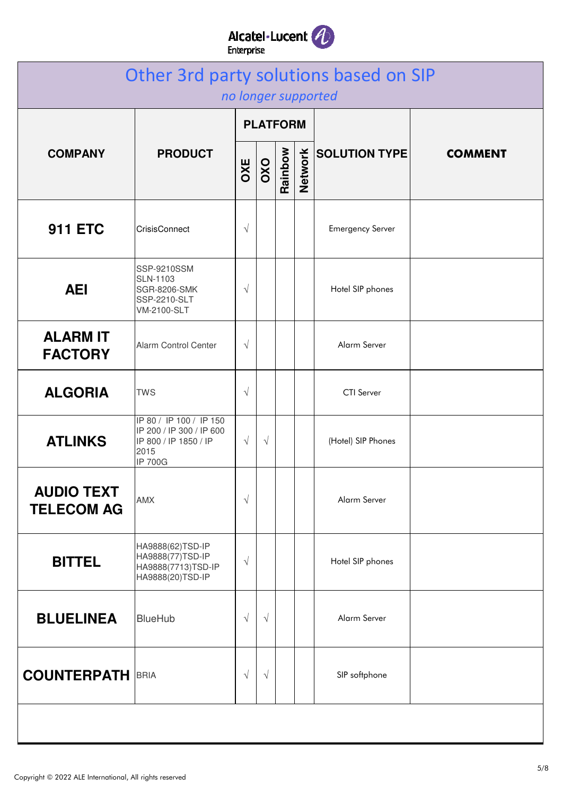## Alcatel·Lucent

|                                        | Other 3rd party solutions based on SIP                                                                 |           |                 |         |                | no longer supported     |                |
|----------------------------------------|--------------------------------------------------------------------------------------------------------|-----------|-----------------|---------|----------------|-------------------------|----------------|
|                                        |                                                                                                        |           | <b>PLATFORM</b> |         |                |                         |                |
| <b>COMPANY</b>                         | <b>PRODUCT</b>                                                                                         | OXE       | OXO             | Rainbow | <b>Network</b> | <b>SOLUTION TYPE</b>    | <b>COMMENT</b> |
| <b>911 ETC</b>                         | CrisisConnect                                                                                          | $\sqrt{}$ |                 |         |                | <b>Emergency Server</b> |                |
| <b>AEI</b>                             | SSP-9210SSM<br><b>SLN-1103</b><br><b>SGR-8206-SMK</b><br>SSP-2210-SLT<br><b>VM-2100-SLT</b>            | $\sqrt{}$ |                 |         |                | Hotel SIP phones        |                |
| <b>ALARM IT</b><br><b>FACTORY</b>      | Alarm Control Center                                                                                   | $\sqrt{}$ |                 |         |                | Alarm Server            |                |
| <b>ALGORIA</b>                         | <b>TWS</b>                                                                                             | $\sqrt{}$ |                 |         |                | <b>CTI</b> Server       |                |
| <b>ATLINKS</b>                         | IP 80 / IP 100 / IP 150<br>IP 200 / IP 300 / IP 600<br>IP 800 / IP 1850 / IP<br>2015<br><b>IP 700G</b> | $\sqrt{}$ | $\sqrt{ }$      |         |                | (Hotel) SIP Phones      |                |
| <b>AUDIO TEXT</b><br><b>TELECOM AG</b> | <b>AMX</b>                                                                                             | $\sqrt{}$ |                 |         |                | Alarm Server            |                |
| <b>BITTEL</b>                          | HA9888(62)TSD-IP<br>HA9888(77)TSD-IP<br>HA9888(7713)TSD-IP<br>HA9888(20)TSD-IP                         | $\sqrt{}$ |                 |         |                | Hotel SIP phones        |                |
| <b>BLUELINEA</b>                       | <b>BlueHub</b>                                                                                         | $\sqrt{}$ | $\sqrt{ }$      |         |                | Alarm Server            |                |
| <b>COUNTERPATH BRIA</b>                |                                                                                                        | $\sqrt{}$ | $\sqrt{ }$      |         |                | SIP softphone           |                |
|                                        |                                                                                                        |           |                 |         |                |                         |                |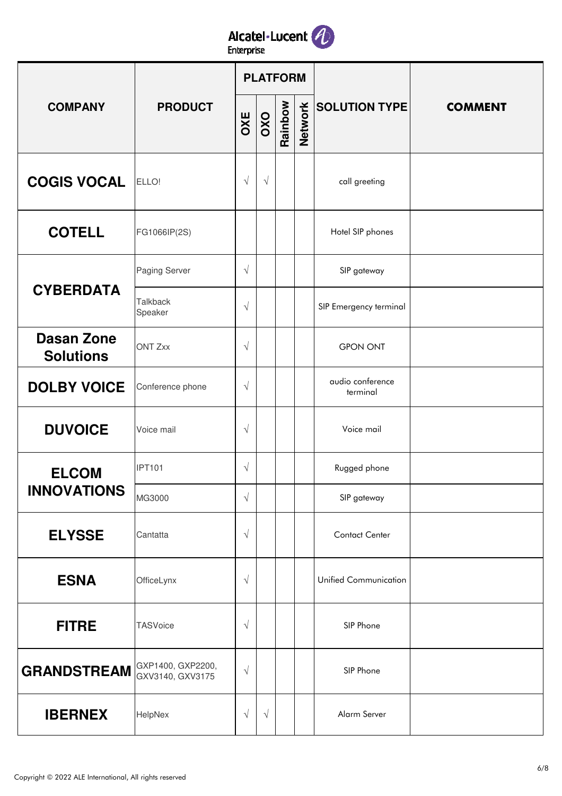

|                                       |                                       |           |            | <b>PLATFORM</b> |                |                              |                |
|---------------------------------------|---------------------------------------|-----------|------------|-----------------|----------------|------------------------------|----------------|
| <b>COMPANY</b>                        | <b>PRODUCT</b>                        | OXE       | OXO        | Rainbow         | <b>Network</b> | <b>SOLUTION TYPE</b>         | <b>COMMENT</b> |
| <b>COGIS VOCAL</b>                    | ELLO!                                 | $\sqrt{}$ | $\sqrt{}$  |                 |                | call greeting                |                |
| <b>COTELL</b>                         | FG1066IP(2S)                          |           |            |                 |                | Hotel SIP phones             |                |
|                                       | Paging Server                         | $\sqrt{}$ |            |                 |                | SIP gateway                  |                |
| <b>CYBERDATA</b>                      | <b>Talkback</b><br>Speaker            | $\sqrt{}$ |            |                 |                | SIP Emergency terminal       |                |
| <b>Dasan Zone</b><br><b>Solutions</b> | <b>ONT Zxx</b>                        | $\sqrt{}$ |            |                 |                | <b>GPON ONT</b>              |                |
| <b>DOLBY VOICE</b>                    | Conference phone                      | $\sqrt{}$ |            |                 |                | audio conference<br>terminal |                |
| <b>DUVOICE</b>                        | Voice mail                            | $\sqrt{}$ |            |                 |                | Voice mail                   |                |
| <b>ELCOM</b>                          | <b>IPT101</b>                         | $\sqrt{}$ |            |                 |                | Rugged phone                 |                |
| <b>INNOVATIONS</b>                    | MG3000                                | $\sqrt{}$ |            |                 |                | SIP gateway                  |                |
| <b>ELYSSE</b>                         | Cantatta                              | $\sqrt{}$ |            |                 |                | <b>Contact Center</b>        |                |
| <b>ESNA</b>                           | OfficeLynx                            | $\sqrt{}$ |            |                 |                | Unified Communication        |                |
| <b>FITRE</b>                          | <b>TASVoice</b>                       | $\sqrt{}$ |            |                 |                | SIP Phone                    |                |
| <b>GRANDSTREAM</b>                    | GXP1400, GXP2200,<br>GXV3140, GXV3175 | $\sqrt{}$ |            |                 |                | SIP Phone                    |                |
| <b>IBERNEX</b>                        | HelpNex                               | $\sqrt{}$ | $\sqrt{ }$ |                 |                | Alarm Server                 |                |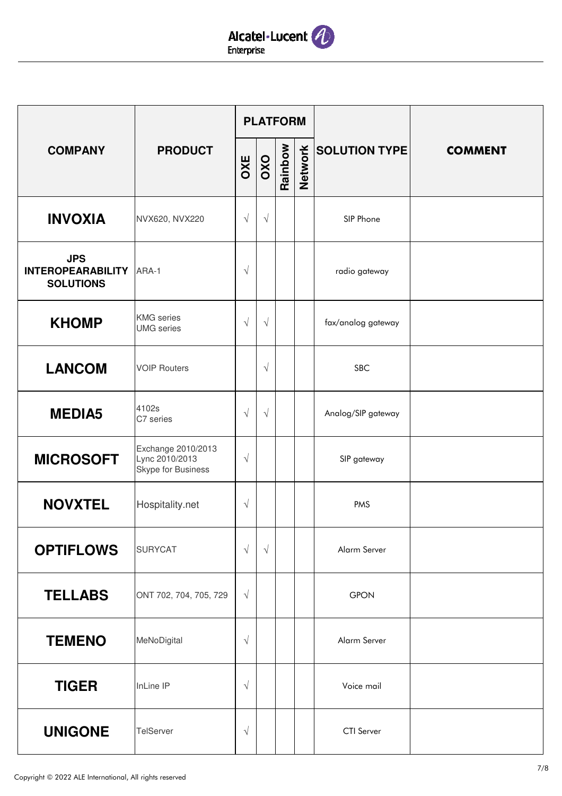

|                                                            |                                                            |            | <b>PLATFORM</b> |         |         |                      |                |
|------------------------------------------------------------|------------------------------------------------------------|------------|-----------------|---------|---------|----------------------|----------------|
| <b>COMPANY</b>                                             | <b>PRODUCT</b>                                             | OXE        | OXO             | Rainbow | Network | <b>SOLUTION TYPE</b> | <b>COMMENT</b> |
| <b>INVOXIA</b>                                             | NVX620, NVX220                                             | $\sqrt{}$  | $\sqrt{}$       |         |         | SIP Phone            |                |
| <b>JPS</b><br><b>INTEROPEARABILITY</b><br><b>SOLUTIONS</b> | ARA-1                                                      | $\sqrt{}$  |                 |         |         | radio gateway        |                |
| <b>KHOMP</b>                                               | <b>KMG</b> series<br><b>UMG</b> series                     | $\sqrt{}$  | $\sqrt{}$       |         |         | fax/analog gateway   |                |
| <b>LANCOM</b>                                              | <b>VOIP Routers</b>                                        |            | $\sqrt{}$       |         |         | <b>SBC</b>           |                |
| <b>MEDIA5</b>                                              | 4102s<br>C7 series                                         | $\sqrt{}$  | $\sqrt{}$       |         |         | Analog/SIP gateway   |                |
| <b>MICROSOFT</b>                                           | Exchange 2010/2013<br>Lync 2010/2013<br>Skype for Business | $\sqrt{}$  |                 |         |         | SIP gateway          |                |
| <b>NOVXTEL</b>                                             | Hospitality.net                                            | $\sqrt{}$  |                 |         |         | <b>PMS</b>           |                |
| <b>OPTIFLOWS</b>                                           | <b>SURYCAT</b>                                             | $\sqrt{ }$ | $\sqrt{ }$      |         |         | Alarm Server         |                |
| <b>TELLABS</b>                                             | ONT 702, 704, 705, 729                                     | $\sqrt{ }$ |                 |         |         | <b>GPON</b>          |                |
| <b>TEMENO</b>                                              | MeNoDigital                                                | $\sqrt{}$  |                 |         |         | Alarm Server         |                |
| <b>TIGER</b>                                               | InLine IP                                                  | $\sqrt{}$  |                 |         |         | Voice mail           |                |
| <b>UNIGONE</b>                                             | TelServer                                                  | $\sqrt{}$  |                 |         |         | CTI Server           |                |